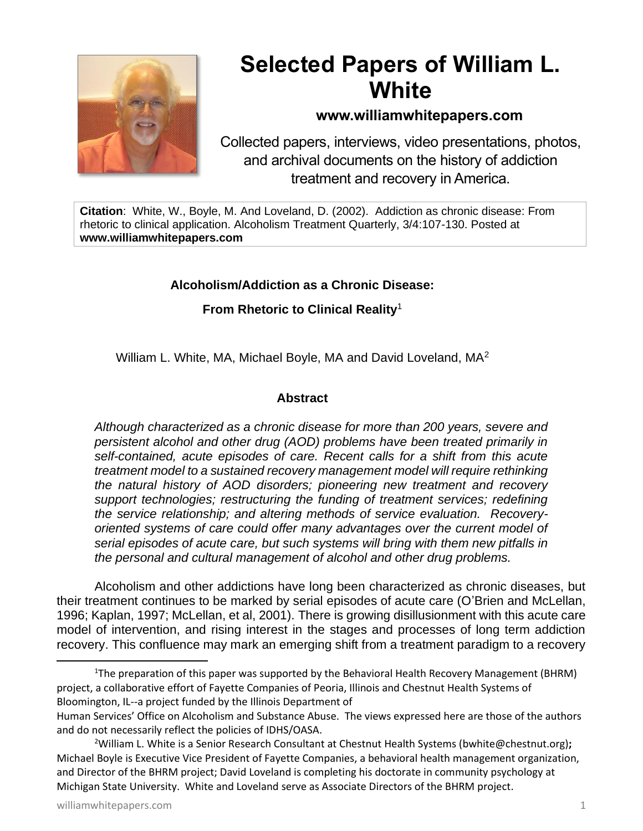

# **Selected Papers of William L. White**

# **www.williamwhitepapers.com**

Collected papers, interviews, video presentations, photos, and archival documents on the history of addiction treatment and recovery in America.

**Citation**: White, W., Boyle, M. And Loveland, D. (2002). Addiction as chronic disease: From rhetoric to clinical application. Alcoholism Treatment Quarterly, 3/4:107-130. Posted at **www.williamwhitepapers.com**

## **Alcoholism/Addiction as a Chronic Disease:**

**From Rhetoric to Clinical Reality**<sup>1</sup>

William L. White, MA, Michael Boyle, MA and David Loveland, MA<sup>2</sup>

## **Abstract**

*Although characterized as a chronic disease for more than 200 years, severe and persistent alcohol and other drug (AOD) problems have been treated primarily in self-contained, acute episodes of care. Recent calls for a shift from this acute treatment model to a sustained recovery management model will require rethinking the natural history of AOD disorders; pioneering new treatment and recovery support technologies; restructuring the funding of treatment services; redefining the service relationship; and altering methods of service evaluation. Recoveryoriented systems of care could offer many advantages over the current model of serial episodes of acute care, but such systems will bring with them new pitfalls in the personal and cultural management of alcohol and other drug problems.* 

Alcoholism and other addictions have long been characterized as chronic diseases, but their treatment continues to be marked by serial episodes of acute care (O'Brien and McLellan, 1996; Kaplan, 1997; McLellan, et al, 2001). There is growing disillusionment with this acute care model of intervention, and rising interest in the stages and processes of long term addiction recovery. This confluence may mark an emerging shift from a treatment paradigm to a recovery

<sup>1</sup>The preparation of this paper was supported by the Behavioral Health Recovery Management (BHRM) project, a collaborative effort of Fayette Companies of Peoria, Illinois and Chestnut Health Systems of Bloomington, IL--a project funded by the Illinois Department of

Human Services' Office on Alcoholism and Substance Abuse. The views expressed here are those of the authors and do not necessarily reflect the policies of IDHS/OASA.

<sup>2</sup>William L. White is a Senior Research Consultant at Chestnut Health Systems (bwhite@chestnut.org)**;** Michael Boyle is Executive Vice President of Fayette Companies, a behavioral health management organization, and Director of the BHRM project; David Loveland is completing his doctorate in community psychology at Michigan State University. White and Loveland serve as Associate Directors of the BHRM project.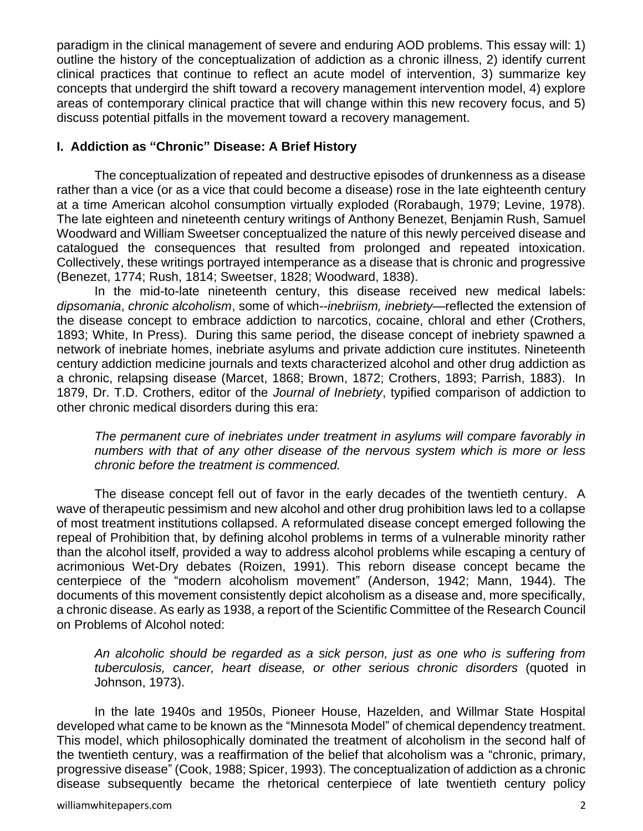paradigm in the clinical management of severe and enduring AOD problems. This essay will: 1) outline the history of the conceptualization of addiction as a chronic illness, 2) identify current clinical practices that continue to reflect an acute model of intervention, 3) summarize key concepts that undergird the shift toward a recovery management intervention model, 4) explore areas of contemporary clinical practice that will change within this new recovery focus, and 5) discuss potential pitfalls in the movement toward a recovery management.

## **I. Addiction as "Chronic" Disease: A Brief History**

The conceptualization of repeated and destructive episodes of drunkenness as a disease rather than a vice (or as a vice that could become a disease) rose in the late eighteenth century at a time American alcohol consumption virtually exploded (Rorabaugh, 1979; Levine, 1978). The late eighteen and nineteenth century writings of Anthony Benezet, Benjamin Rush, Samuel Woodward and William Sweetser conceptualized the nature of this newly perceived disease and catalogued the consequences that resulted from prolonged and repeated intoxication. Collectively, these writings portrayed intemperance as a disease that is chronic and progressive (Benezet, 1774; Rush, 1814; Sweetser, 1828; Woodward, 1838).

In the mid-to-late nineteenth century, this disease received new medical labels: *dipsomania*, *chronic alcoholism*, some of which--*inebriism, inebriety—*reflected the extension of the disease concept to embrace addiction to narcotics, cocaine, chloral and ether (Crothers, 1893; White, In Press). During this same period, the disease concept of inebriety spawned a network of inebriate homes, inebriate asylums and private addiction cure institutes. Nineteenth century addiction medicine journals and texts characterized alcohol and other drug addiction as a chronic, relapsing disease (Marcet, 1868; Brown, 1872; Crothers, 1893; Parrish, 1883). In 1879, Dr. T.D. Crothers, editor of the *Journal of Inebriety*, typified comparison of addiction to other chronic medical disorders during this era:

*The permanent cure of inebriates under treatment in asylums will compare favorably in numbers with that of any other disease of the nervous system which is more or less chronic before the treatment is commenced.*

The disease concept fell out of favor in the early decades of the twentieth century. A wave of therapeutic pessimism and new alcohol and other drug prohibition laws led to a collapse of most treatment institutions collapsed. A reformulated disease concept emerged following the repeal of Prohibition that, by defining alcohol problems in terms of a vulnerable minority rather than the alcohol itself, provided a way to address alcohol problems while escaping a century of acrimonious Wet-Dry debates (Roizen, 1991). This reborn disease concept became the centerpiece of the "modern alcoholism movement" (Anderson, 1942; Mann, 1944). The documents of this movement consistently depict alcoholism as a disease and, more specifically, a chronic disease. As early as 1938, a report of the Scientific Committee of the Research Council on Problems of Alcohol noted:

*An alcoholic should be regarded as a sick person, just as one who is suffering from tuberculosis, cancer, heart disease, or other serious chronic disorders* (quoted in Johnson, 1973).

In the late 1940s and 1950s, Pioneer House, Hazelden, and Willmar State Hospital developed what came to be known as the "Minnesota Model" of chemical dependency treatment. This model, which philosophically dominated the treatment of alcoholism in the second half of the twentieth century, was a reaffirmation of the belief that alcoholism was a "chronic, primary, progressive disease" (Cook, 1988; Spicer, 1993). The conceptualization of addiction as a chronic disease subsequently became the rhetorical centerpiece of late twentieth century policy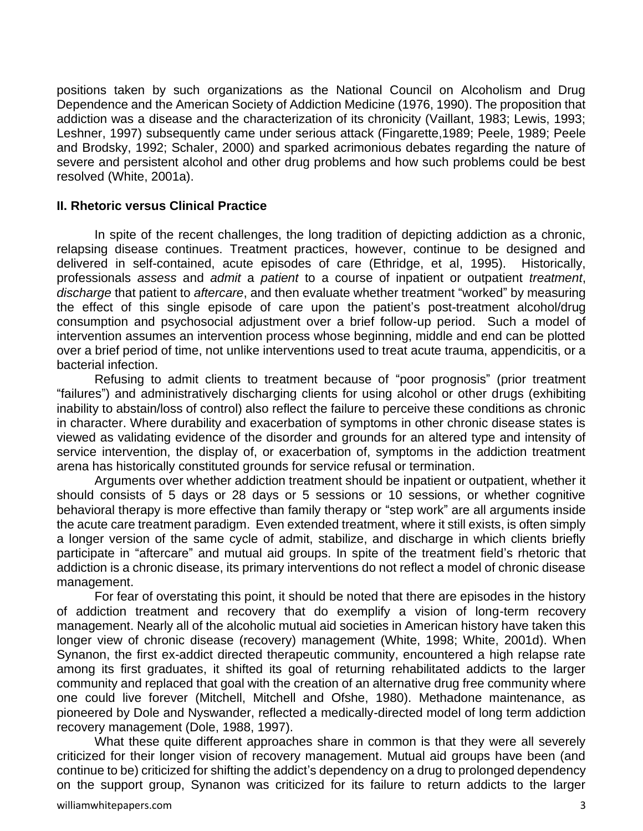positions taken by such organizations as the National Council on Alcoholism and Drug Dependence and the American Society of Addiction Medicine (1976, 1990). The proposition that addiction was a disease and the characterization of its chronicity (Vaillant, 1983; Lewis, 1993; Leshner, 1997) subsequently came under serious attack (Fingarette,1989; Peele, 1989; Peele and Brodsky, 1992; Schaler, 2000) and sparked acrimonious debates regarding the nature of severe and persistent alcohol and other drug problems and how such problems could be best resolved (White, 2001a).

#### **II. Rhetoric versus Clinical Practice**

In spite of the recent challenges, the long tradition of depicting addiction as a chronic, relapsing disease continues. Treatment practices, however, continue to be designed and delivered in self-contained, acute episodes of care (Ethridge, et al, 1995). Historically, professionals *assess* and *admit* a *patient* to a course of inpatient or outpatient *treatment*, *discharge* that patient to *aftercare*, and then evaluate whether treatment "worked" by measuring the effect of this single episode of care upon the patient's post-treatment alcohol/drug consumption and psychosocial adjustment over a brief follow-up period. Such a model of intervention assumes an intervention process whose beginning, middle and end can be plotted over a brief period of time, not unlike interventions used to treat acute trauma, appendicitis, or a bacterial infection.

Refusing to admit clients to treatment because of "poor prognosis" (prior treatment "failures") and administratively discharging clients for using alcohol or other drugs (exhibiting inability to abstain/loss of control) also reflect the failure to perceive these conditions as chronic in character. Where durability and exacerbation of symptoms in other chronic disease states is viewed as validating evidence of the disorder and grounds for an altered type and intensity of service intervention, the display of, or exacerbation of, symptoms in the addiction treatment arena has historically constituted grounds for service refusal or termination.

Arguments over whether addiction treatment should be inpatient or outpatient, whether it should consists of 5 days or 28 days or 5 sessions or 10 sessions, or whether cognitive behavioral therapy is more effective than family therapy or "step work" are all arguments inside the acute care treatment paradigm. Even extended treatment, where it still exists, is often simply a longer version of the same cycle of admit, stabilize, and discharge in which clients briefly participate in "aftercare" and mutual aid groups. In spite of the treatment field's rhetoric that addiction is a chronic disease, its primary interventions do not reflect a model of chronic disease management.

For fear of overstating this point, it should be noted that there are episodes in the history of addiction treatment and recovery that do exemplify a vision of long-term recovery management. Nearly all of the alcoholic mutual aid societies in American history have taken this longer view of chronic disease (recovery) management (White, 1998; White, 2001d). When Synanon, the first ex-addict directed therapeutic community, encountered a high relapse rate among its first graduates, it shifted its goal of returning rehabilitated addicts to the larger community and replaced that goal with the creation of an alternative drug free community where one could live forever (Mitchell, Mitchell and Ofshe, 1980). Methadone maintenance, as pioneered by Dole and Nyswander, reflected a medically-directed model of long term addiction recovery management (Dole, 1988, 1997).

What these quite different approaches share in common is that they were all severely criticized for their longer vision of recovery management. Mutual aid groups have been (and continue to be) criticized for shifting the addict's dependency on a drug to prolonged dependency on the support group, Synanon was criticized for its failure to return addicts to the larger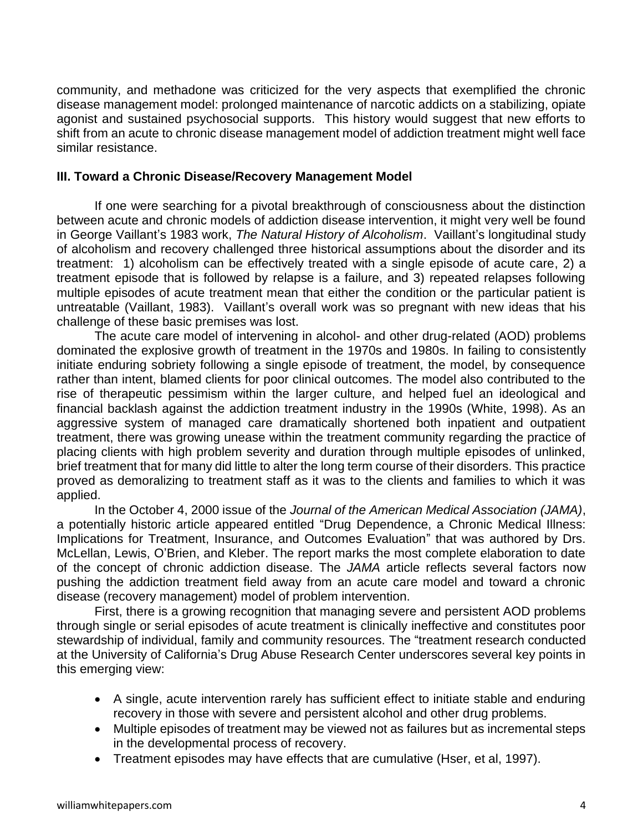community, and methadone was criticized for the very aspects that exemplified the chronic disease management model: prolonged maintenance of narcotic addicts on a stabilizing, opiate agonist and sustained psychosocial supports. This history would suggest that new efforts to shift from an acute to chronic disease management model of addiction treatment might well face similar resistance.

#### **III. Toward a Chronic Disease/Recovery Management Model**

If one were searching for a pivotal breakthrough of consciousness about the distinction between acute and chronic models of addiction disease intervention, it might very well be found in George Vaillant's 1983 work, *The Natural History of Alcoholism*. Vaillant's longitudinal study of alcoholism and recovery challenged three historical assumptions about the disorder and its treatment: 1) alcoholism can be effectively treated with a single episode of acute care, 2) a treatment episode that is followed by relapse is a failure, and 3) repeated relapses following multiple episodes of acute treatment mean that either the condition or the particular patient is untreatable (Vaillant, 1983). Vaillant's overall work was so pregnant with new ideas that his challenge of these basic premises was lost.

The acute care model of intervening in alcohol- and other drug-related (AOD) problems dominated the explosive growth of treatment in the 1970s and 1980s. In failing to consistently initiate enduring sobriety following a single episode of treatment, the model, by consequence rather than intent, blamed clients for poor clinical outcomes. The model also contributed to the rise of therapeutic pessimism within the larger culture, and helped fuel an ideological and financial backlash against the addiction treatment industry in the 1990s (White, 1998). As an aggressive system of managed care dramatically shortened both inpatient and outpatient treatment, there was growing unease within the treatment community regarding the practice of placing clients with high problem severity and duration through multiple episodes of unlinked, brief treatment that for many did little to alter the long term course of their disorders. This practice proved as demoralizing to treatment staff as it was to the clients and families to which it was applied.

In the October 4, 2000 issue of the *Journal of the American Medical Association (JAMA)*, a potentially historic article appeared entitled "Drug Dependence, a Chronic Medical Illness: Implications for Treatment, Insurance, and Outcomes Evaluation" that was authored by Drs. McLellan, Lewis, O'Brien, and Kleber. The report marks the most complete elaboration to date of the concept of chronic addiction disease. The *JAMA* article reflects several factors now pushing the addiction treatment field away from an acute care model and toward a chronic disease (recovery management) model of problem intervention.

First, there is a growing recognition that managing severe and persistent AOD problems through single or serial episodes of acute treatment is clinically ineffective and constitutes poor stewardship of individual, family and community resources. The "treatment research conducted at the University of California's Drug Abuse Research Center underscores several key points in this emerging view:

- A single, acute intervention rarely has sufficient effect to initiate stable and enduring recovery in those with severe and persistent alcohol and other drug problems.
- Multiple episodes of treatment may be viewed not as failures but as incremental steps in the developmental process of recovery.
- Treatment episodes may have effects that are cumulative (Hser, et al, 1997).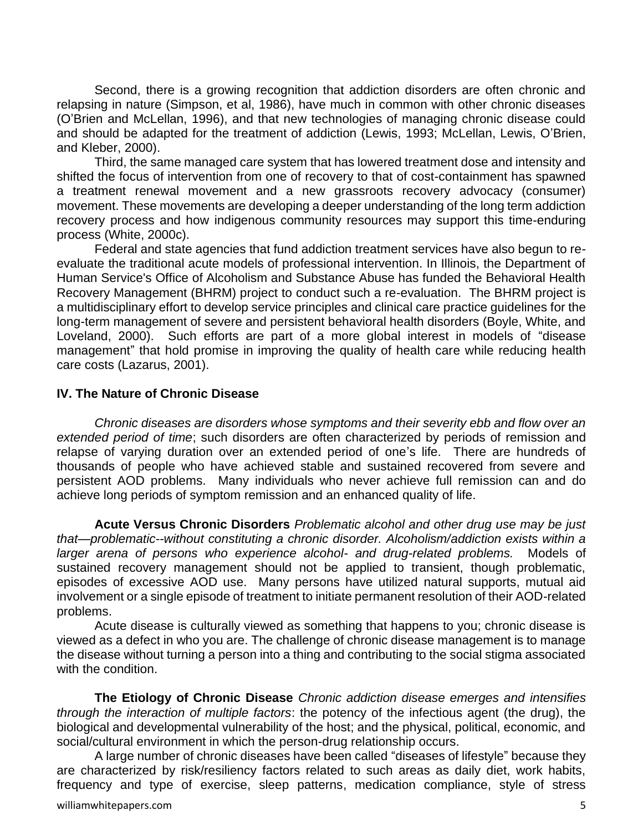Second, there is a growing recognition that addiction disorders are often chronic and relapsing in nature (Simpson, et al, 1986), have much in common with other chronic diseases (O'Brien and McLellan, 1996), and that new technologies of managing chronic disease could and should be adapted for the treatment of addiction (Lewis, 1993; McLellan, Lewis, O'Brien, and Kleber, 2000).

Third, the same managed care system that has lowered treatment dose and intensity and shifted the focus of intervention from one of recovery to that of cost-containment has spawned a treatment renewal movement and a new grassroots recovery advocacy (consumer) movement. These movements are developing a deeper understanding of the long term addiction recovery process and how indigenous community resources may support this time-enduring process (White, 2000c).

Federal and state agencies that fund addiction treatment services have also begun to reevaluate the traditional acute models of professional intervention. In Illinois, the Department of Human Service's Office of Alcoholism and Substance Abuse has funded the Behavioral Health Recovery Management (BHRM) project to conduct such a re-evaluation. The BHRM project is a multidisciplinary effort to develop service principles and clinical care practice guidelines for the long-term management of severe and persistent behavioral health disorders (Boyle, White, and Loveland, 2000). Such efforts are part of a more global interest in models of "disease management" that hold promise in improving the quality of health care while reducing health care costs (Lazarus, 2001).

#### **IV. The Nature of Chronic Disease**

*Chronic diseases are disorders whose symptoms and their severity ebb and flow over an extended period of time*; such disorders are often characterized by periods of remission and relapse of varying duration over an extended period of one's life. There are hundreds of thousands of people who have achieved stable and sustained recovered from severe and persistent AOD problems. Many individuals who never achieve full remission can and do achieve long periods of symptom remission and an enhanced quality of life.

**Acute Versus Chronic Disorders** *Problematic alcohol and other drug use may be just that—problematic--without constituting a chronic disorder. Alcoholism/addiction exists within a larger arena of persons who experience alcohol- and drug-related problems.* Models of sustained recovery management should not be applied to transient, though problematic, episodes of excessive AOD use. Many persons have utilized natural supports, mutual aid involvement or a single episode of treatment to initiate permanent resolution of their AOD-related problems.

Acute disease is culturally viewed as something that happens to you; chronic disease is viewed as a defect in who you are. The challenge of chronic disease management is to manage the disease without turning a person into a thing and contributing to the social stigma associated with the condition.

**The Etiology of Chronic Disease** *Chronic addiction disease emerges and intensifies through the interaction of multiple factors*: the potency of the infectious agent (the drug), the biological and developmental vulnerability of the host; and the physical, political, economic, and social/cultural environment in which the person-drug relationship occurs.

A large number of chronic diseases have been called "diseases of lifestyle" because they are characterized by risk/resiliency factors related to such areas as daily diet, work habits, frequency and type of exercise, sleep patterns, medication compliance, style of stress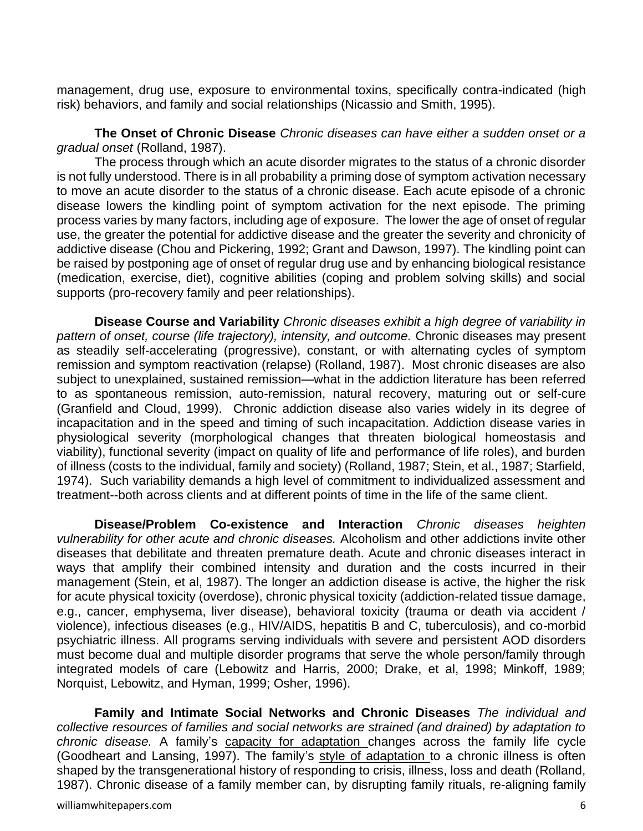management, drug use, exposure to environmental toxins, specifically contra-indicated (high risk) behaviors, and family and social relationships (Nicassio and Smith, 1995).

**The Onset of Chronic Disease** *Chronic diseases can have either a sudden onset or a gradual onset* (Rolland, 1987).

The process through which an acute disorder migrates to the status of a chronic disorder is not fully understood. There is in all probability a priming dose of symptom activation necessary to move an acute disorder to the status of a chronic disease. Each acute episode of a chronic disease lowers the kindling point of symptom activation for the next episode. The priming process varies by many factors, including age of exposure. The lower the age of onset of regular use, the greater the potential for addictive disease and the greater the severity and chronicity of addictive disease (Chou and Pickering, 1992; Grant and Dawson, 1997). The kindling point can be raised by postponing age of onset of regular drug use and by enhancing biological resistance (medication, exercise, diet), cognitive abilities (coping and problem solving skills) and social supports (pro-recovery family and peer relationships).

**Disease Course and Variability** *Chronic diseases exhibit a high degree of variability in pattern of onset, course (life trajectory), intensity, and outcome.* Chronic diseases may present as steadily self-accelerating (progressive), constant, or with alternating cycles of symptom remission and symptom reactivation (relapse) (Rolland, 1987). Most chronic diseases are also subject to unexplained, sustained remission—what in the addiction literature has been referred to as spontaneous remission, auto-remission, natural recovery, maturing out or self-cure (Granfield and Cloud, 1999). Chronic addiction disease also varies widely in its degree of incapacitation and in the speed and timing of such incapacitation. Addiction disease varies in physiological severity (morphological changes that threaten biological homeostasis and viability), functional severity (impact on quality of life and performance of life roles), and burden of illness (costs to the individual, family and society) (Rolland, 1987; Stein, et al., 1987; Starfield, 1974). Such variability demands a high level of commitment to individualized assessment and treatment--both across clients and at different points of time in the life of the same client.

**Disease/Problem Co-existence and Interaction** *Chronic diseases heighten vulnerability for other acute and chronic diseases.* Alcoholism and other addictions invite other diseases that debilitate and threaten premature death. Acute and chronic diseases interact in ways that amplify their combined intensity and duration and the costs incurred in their management (Stein, et al, 1987). The longer an addiction disease is active, the higher the risk for acute physical toxicity (overdose), chronic physical toxicity (addiction-related tissue damage, e.g., cancer, emphysema, liver disease), behavioral toxicity (trauma or death via accident / violence), infectious diseases (e.g., HIV/AIDS, hepatitis B and C, tuberculosis), and co-morbid psychiatric illness. All programs serving individuals with severe and persistent AOD disorders must become dual and multiple disorder programs that serve the whole person/family through integrated models of care (Lebowitz and Harris, 2000; Drake, et al, 1998; Minkoff, 1989; Norquist, Lebowitz, and Hyman, 1999; Osher, 1996).

**Family and Intimate Social Networks and Chronic Diseases** *The individual and collective resources of families and social networks are strained (and drained) by adaptation to chronic disease.* A family's capacity for adaptation changes across the family life cycle (Goodheart and Lansing, 1997). The family's style of adaptation to a chronic illness is often shaped by the transgenerational history of responding to crisis, illness, loss and death (Rolland, 1987). Chronic disease of a family member can, by disrupting family rituals, re-aligning family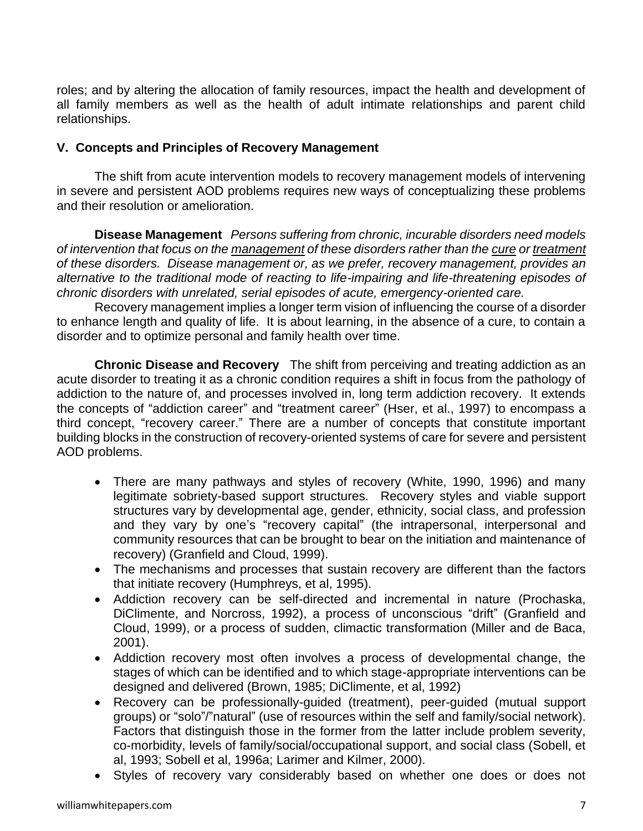roles; and by altering the allocation of family resources, impact the health and development of all family members as well as the health of adult intimate relationships and parent child relationships.

## **V. Concepts and Principles of Recovery Management**

The shift from acute intervention models to recovery management models of intervening in severe and persistent AOD problems requires new ways of conceptualizing these problems and their resolution or amelioration.

**Disease Management** *Persons suffering from chronic, incurable disorders need models of intervention that focus on the management of these disorders rather than the cure or treatment of these disorders. Disease management or, as we prefer, recovery management, provides an alternative to the traditional mode of reacting to life-impairing and life-threatening episodes of chronic disorders with unrelated, serial episodes of acute, emergency-oriented care.*

Recovery management implies a longer term vision of influencing the course of a disorder to enhance length and quality of life. It is about learning, in the absence of a cure, to contain a disorder and to optimize personal and family health over time.

**Chronic Disease and Recovery** The shift from perceiving and treating addiction as an acute disorder to treating it as a chronic condition requires a shift in focus from the pathology of addiction to the nature of, and processes involved in, long term addiction recovery. It extends the concepts of "addiction career" and "treatment career" (Hser, et al., 1997) to encompass a third concept, "recovery career." There are a number of concepts that constitute important building blocks in the construction of recovery-oriented systems of care for severe and persistent AOD problems.

- There are many pathways and styles of recovery (White, 1990, 1996) and many legitimate sobriety-based support structures. Recovery styles and viable support structures vary by developmental age, gender, ethnicity, social class, and profession and they vary by one's "recovery capital" (the intrapersonal, interpersonal and community resources that can be brought to bear on the initiation and maintenance of recovery) (Granfield and Cloud, 1999).
- The mechanisms and processes that sustain recovery are different than the factors that initiate recovery (Humphreys, et al, 1995).
- Addiction recovery can be self-directed and incremental in nature (Prochaska, DiClimente, and Norcross, 1992), a process of unconscious "drift" (Granfield and Cloud, 1999), or a process of sudden, climactic transformation (Miller and de Baca, 2001).
- Addiction recovery most often involves a process of developmental change, the stages of which can be identified and to which stage-appropriate interventions can be designed and delivered (Brown, 1985; DiClimente, et al, 1992)
- Recovery can be professionally-guided (treatment), peer-guided (mutual support groups) or "solo"/"natural" (use of resources within the self and family/social network). Factors that distinguish those in the former from the latter include problem severity, co-morbidity, levels of family/social/occupational support, and social class (Sobell, et al, 1993; Sobell et al, 1996a; Larimer and Kilmer, 2000).
- Styles of recovery vary considerably based on whether one does or does not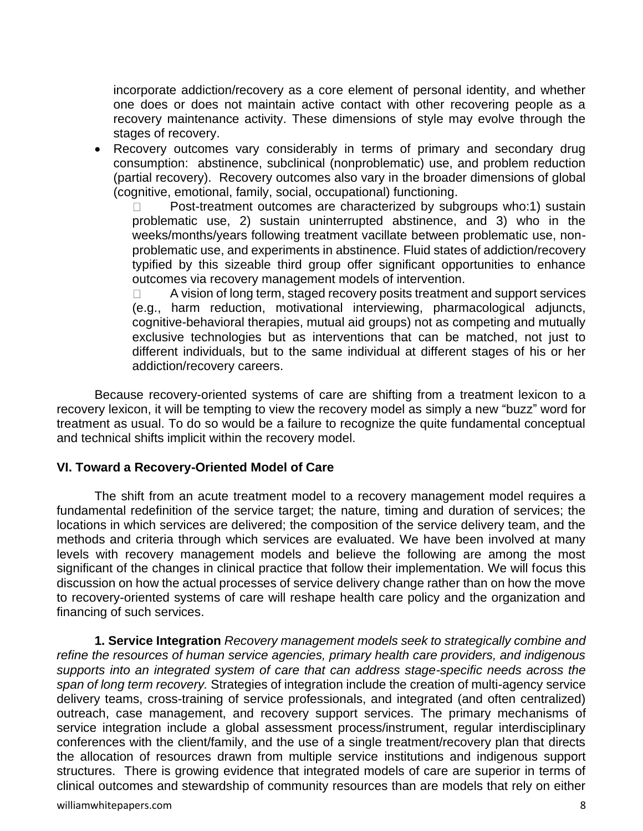incorporate addiction/recovery as a core element of personal identity, and whether one does or does not maintain active contact with other recovering people as a recovery maintenance activity. These dimensions of style may evolve through the stages of recovery.

• Recovery outcomes vary considerably in terms of primary and secondary drug consumption: abstinence, subclinical (nonproblematic) use, and problem reduction (partial recovery). Recovery outcomes also vary in the broader dimensions of global (cognitive, emotional, family, social, occupational) functioning.

Post-treatment outcomes are characterized by subgroups who:1) sustain problematic use, 2) sustain uninterrupted abstinence, and 3) who in the weeks/months/years following treatment vacillate between problematic use, nonproblematic use, and experiments in abstinence. Fluid states of addiction/recovery typified by this sizeable third group offer significant opportunities to enhance outcomes via recovery management models of intervention.

A vision of long term, staged recovery posits treatment and support services  $\Box$ (e.g., harm reduction, motivational interviewing, pharmacological adjuncts, cognitive-behavioral therapies, mutual aid groups) not as competing and mutually exclusive technologies but as interventions that can be matched, not just to different individuals, but to the same individual at different stages of his or her addiction/recovery careers.

Because recovery-oriented systems of care are shifting from a treatment lexicon to a recovery lexicon, it will be tempting to view the recovery model as simply a new "buzz" word for treatment as usual. To do so would be a failure to recognize the quite fundamental conceptual and technical shifts implicit within the recovery model.

## **VI. Toward a Recovery-Oriented Model of Care**

The shift from an acute treatment model to a recovery management model requires a fundamental redefinition of the service target; the nature, timing and duration of services; the locations in which services are delivered; the composition of the service delivery team, and the methods and criteria through which services are evaluated. We have been involved at many levels with recovery management models and believe the following are among the most significant of the changes in clinical practice that follow their implementation. We will focus this discussion on how the actual processes of service delivery change rather than on how the move to recovery-oriented systems of care will reshape health care policy and the organization and financing of such services.

**1. Service Integration** *Recovery management models seek to strategically combine and refine the resources of human service agencies, primary health care providers, and indigenous supports into an integrated system of care that can address stage-specific needs across the span of long term recovery.* Strategies of integration include the creation of multi-agency service delivery teams, cross-training of service professionals, and integrated (and often centralized) outreach, case management, and recovery support services. The primary mechanisms of service integration include a global assessment process/instrument, regular interdisciplinary conferences with the client/family, and the use of a single treatment/recovery plan that directs the allocation of resources drawn from multiple service institutions and indigenous support structures. There is growing evidence that integrated models of care are superior in terms of clinical outcomes and stewardship of community resources than are models that rely on either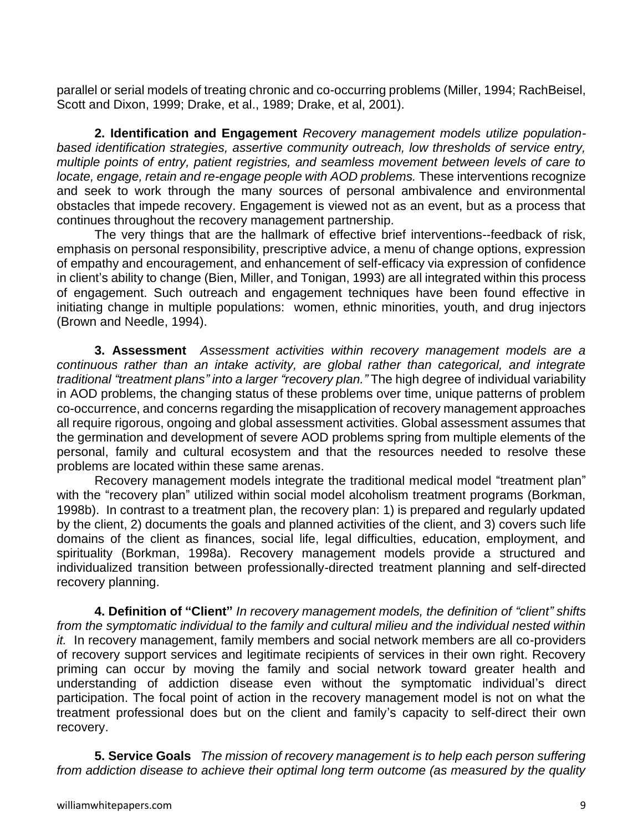parallel or serial models of treating chronic and co-occurring problems (Miller, 1994; RachBeisel, Scott and Dixon, 1999; Drake, et al., 1989; Drake, et al, 2001).

**2. Identification and Engagement** *Recovery management models utilize populationbased identification strategies, assertive community outreach, low thresholds of service entry, multiple points of entry, patient registries, and seamless movement between levels of care to locate, engage, retain and re-engage people with AOD problems.* These interventions recognize and seek to work through the many sources of personal ambivalence and environmental obstacles that impede recovery. Engagement is viewed not as an event, but as a process that continues throughout the recovery management partnership.

The very things that are the hallmark of effective brief interventions--feedback of risk, emphasis on personal responsibility, prescriptive advice, a menu of change options, expression of empathy and encouragement, and enhancement of self-efficacy via expression of confidence in client's ability to change (Bien, Miller, and Tonigan, 1993) are all integrated within this process of engagement. Such outreach and engagement techniques have been found effective in initiating change in multiple populations: women, ethnic minorities, youth, and drug injectors (Brown and Needle, 1994).

**3. Assessment** *Assessment activities within recovery management models are a continuous rather than an intake activity, are global rather than categorical, and integrate traditional "treatment plans" into a larger "recovery plan."* The high degree of individual variability in AOD problems, the changing status of these problems over time, unique patterns of problem co-occurrence, and concerns regarding the misapplication of recovery management approaches all require rigorous, ongoing and global assessment activities. Global assessment assumes that the germination and development of severe AOD problems spring from multiple elements of the personal, family and cultural ecosystem and that the resources needed to resolve these problems are located within these same arenas.

Recovery management models integrate the traditional medical model "treatment plan" with the "recovery plan" utilized within social model alcoholism treatment programs (Borkman, 1998b). In contrast to a treatment plan, the recovery plan: 1) is prepared and regularly updated by the client, 2) documents the goals and planned activities of the client, and 3) covers such life domains of the client as finances, social life, legal difficulties, education, employment, and spirituality (Borkman, 1998a). Recovery management models provide a structured and individualized transition between professionally-directed treatment planning and self-directed recovery planning.

**4. Definition of "Client"** *In recovery management models, the definition of "client" shifts from the symptomatic individual to the family and cultural milieu and the individual nested within it.* In recovery management, family members and social network members are all co-providers of recovery support services and legitimate recipients of services in their own right. Recovery priming can occur by moving the family and social network toward greater health and understanding of addiction disease even without the symptomatic individual's direct participation. The focal point of action in the recovery management model is not on what the treatment professional does but on the client and family's capacity to self-direct their own recovery.

**5. Service Goals** *The mission of recovery management is to help each person suffering from addiction disease to achieve their optimal long term outcome (as measured by the quality*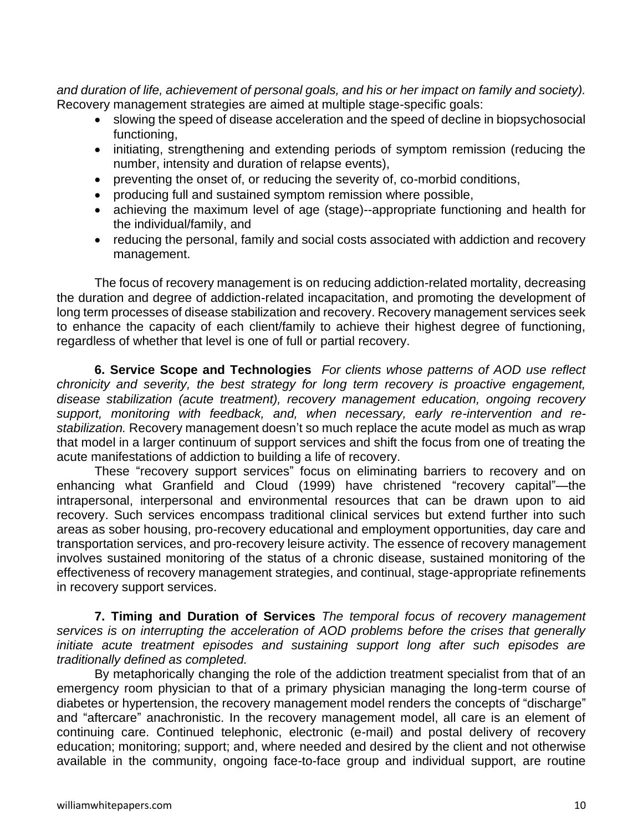*and duration of life, achievement of personal goals, and his or her impact on family and society).* Recovery management strategies are aimed at multiple stage-specific goals:

- slowing the speed of disease acceleration and the speed of decline in biopsychosocial functioning,
- initiating, strengthening and extending periods of symptom remission (reducing the number, intensity and duration of relapse events),
- preventing the onset of, or reducing the severity of, co-morbid conditions,
- producing full and sustained symptom remission where possible,
- achieving the maximum level of age (stage)--appropriate functioning and health for the individual/family, and
- reducing the personal, family and social costs associated with addiction and recovery management.

The focus of recovery management is on reducing addiction-related mortality, decreasing the duration and degree of addiction-related incapacitation, and promoting the development of long term processes of disease stabilization and recovery. Recovery management services seek to enhance the capacity of each client/family to achieve their highest degree of functioning, regardless of whether that level is one of full or partial recovery.

**6. Service Scope and Technologies** *For clients whose patterns of AOD use reflect chronicity and severity, the best strategy for long term recovery is proactive engagement, disease stabilization (acute treatment), recovery management education, ongoing recovery support, monitoring with feedback, and, when necessary, early re-intervention and restabilization.* Recovery management doesn't so much replace the acute model as much as wrap that model in a larger continuum of support services and shift the focus from one of treating the acute manifestations of addiction to building a life of recovery.

These "recovery support services" focus on eliminating barriers to recovery and on enhancing what Granfield and Cloud (1999) have christened "recovery capital"—the intrapersonal, interpersonal and environmental resources that can be drawn upon to aid recovery. Such services encompass traditional clinical services but extend further into such areas as sober housing, pro-recovery educational and employment opportunities, day care and transportation services, and pro-recovery leisure activity. The essence of recovery management involves sustained monitoring of the status of a chronic disease, sustained monitoring of the effectiveness of recovery management strategies, and continual, stage-appropriate refinements in recovery support services.

**7. Timing and Duration of Services** *The temporal focus of recovery management services is on interrupting the acceleration of AOD problems before the crises that generally initiate acute treatment episodes and sustaining support long after such episodes are traditionally defined as completed.* 

By metaphorically changing the role of the addiction treatment specialist from that of an emergency room physician to that of a primary physician managing the long-term course of diabetes or hypertension, the recovery management model renders the concepts of "discharge" and "aftercare" anachronistic. In the recovery management model, all care is an element of continuing care. Continued telephonic, electronic (e-mail) and postal delivery of recovery education; monitoring; support; and, where needed and desired by the client and not otherwise available in the community, ongoing face-to-face group and individual support, are routine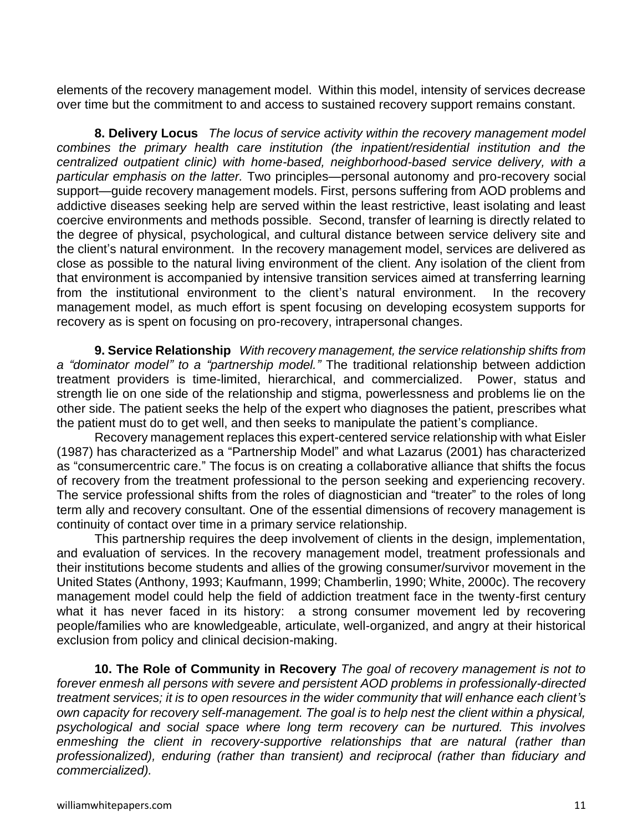elements of the recovery management model. Within this model, intensity of services decrease over time but the commitment to and access to sustained recovery support remains constant.

**8. Delivery Locus** *The locus of service activity within the recovery management model combines the primary health care institution (the inpatient/residential institution and the centralized outpatient clinic) with home-based, neighborhood-based service delivery, with a particular emphasis on the latter.* Two principles—personal autonomy and pro-recovery social support—guide recovery management models. First, persons suffering from AOD problems and addictive diseases seeking help are served within the least restrictive, least isolating and least coercive environments and methods possible. Second, transfer of learning is directly related to the degree of physical, psychological, and cultural distance between service delivery site and the client's natural environment. In the recovery management model, services are delivered as close as possible to the natural living environment of the client. Any isolation of the client from that environment is accompanied by intensive transition services aimed at transferring learning from the institutional environment to the client's natural environment. In the recovery management model, as much effort is spent focusing on developing ecosystem supports for recovery as is spent on focusing on pro-recovery, intrapersonal changes.

**9. Service Relationship** *With recovery management, the service relationship shifts from a "dominator model" to a "partnership model."* The traditional relationship between addiction treatment providers is time-limited, hierarchical, and commercialized. Power, status and strength lie on one side of the relationship and stigma, powerlessness and problems lie on the other side. The patient seeks the help of the expert who diagnoses the patient, prescribes what the patient must do to get well, and then seeks to manipulate the patient's compliance.

Recovery management replaces this expert-centered service relationship with what Eisler (1987) has characterized as a "Partnership Model" and what Lazarus (2001) has characterized as "consumercentric care." The focus is on creating a collaborative alliance that shifts the focus of recovery from the treatment professional to the person seeking and experiencing recovery. The service professional shifts from the roles of diagnostician and "treater" to the roles of long term ally and recovery consultant. One of the essential dimensions of recovery management is continuity of contact over time in a primary service relationship.

This partnership requires the deep involvement of clients in the design, implementation, and evaluation of services. In the recovery management model, treatment professionals and their institutions become students and allies of the growing consumer/survivor movement in the United States (Anthony, 1993; Kaufmann, 1999; Chamberlin, 1990; White, 2000c). The recovery management model could help the field of addiction treatment face in the twenty-first century what it has never faced in its history: a strong consumer movement led by recovering people/families who are knowledgeable, articulate, well-organized, and angry at their historical exclusion from policy and clinical decision-making.

**10. The Role of Community in Recovery** *The goal of recovery management is not to forever enmesh all persons with severe and persistent AOD problems in professionally-directed treatment services; it is to open resources in the wider community that will enhance each client's own capacity for recovery self-management. The goal is to help nest the client within a physical, psychological and social space where long term recovery can be nurtured. This involves enmeshing the client in recovery-supportive relationships that are natural (rather than professionalized), enduring (rather than transient) and reciprocal (rather than fiduciary and commercialized).*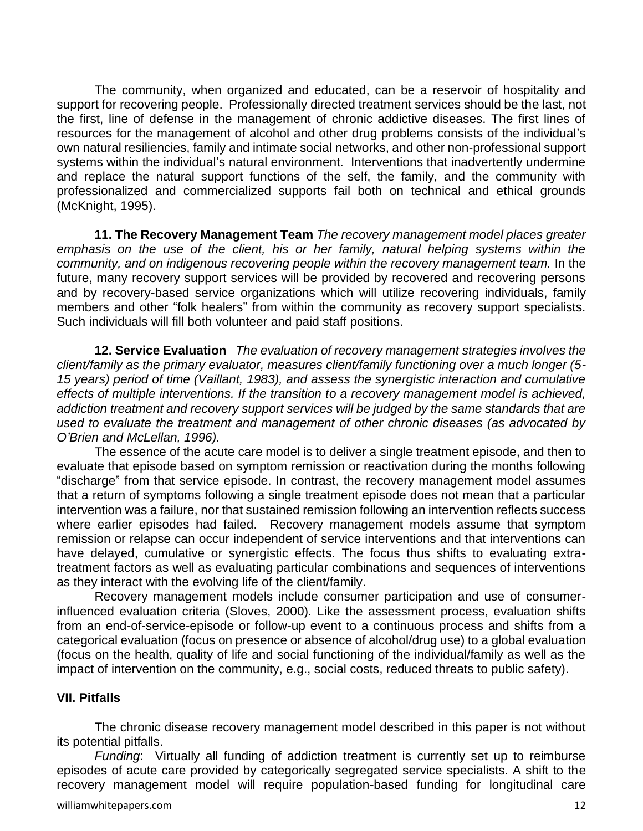The community, when organized and educated, can be a reservoir of hospitality and support for recovering people. Professionally directed treatment services should be the last, not the first, line of defense in the management of chronic addictive diseases. The first lines of resources for the management of alcohol and other drug problems consists of the individual's own natural resiliencies, family and intimate social networks, and other non-professional support systems within the individual's natural environment. Interventions that inadvertently undermine and replace the natural support functions of the self, the family, and the community with professionalized and commercialized supports fail both on technical and ethical grounds (McKnight, 1995).

**11. The Recovery Management Team** *The recovery management model places greater emphasis on the use of the client, his or her family, natural helping systems within the community, and on indigenous recovering people within the recovery management team.* In the future, many recovery support services will be provided by recovered and recovering persons and by recovery-based service organizations which will utilize recovering individuals, family members and other "folk healers" from within the community as recovery support specialists. Such individuals will fill both volunteer and paid staff positions.

**12. Service Evaluation** *The evaluation of recovery management strategies involves the client/family as the primary evaluator, measures client/family functioning over a much longer (5- 15 years) period of time (Vaillant, 1983), and assess the synergistic interaction and cumulative effects of multiple interventions. If the transition to a recovery management model is achieved, addiction treatment and recovery support services will be judged by the same standards that are used to evaluate the treatment and management of other chronic diseases (as advocated by O'Brien and McLellan, 1996).*

The essence of the acute care model is to deliver a single treatment episode, and then to evaluate that episode based on symptom remission or reactivation during the months following "discharge" from that service episode. In contrast, the recovery management model assumes that a return of symptoms following a single treatment episode does not mean that a particular intervention was a failure, nor that sustained remission following an intervention reflects success where earlier episodes had failed. Recovery management models assume that symptom remission or relapse can occur independent of service interventions and that interventions can have delayed, cumulative or synergistic effects. The focus thus shifts to evaluating extratreatment factors as well as evaluating particular combinations and sequences of interventions as they interact with the evolving life of the client/family.

Recovery management models include consumer participation and use of consumerinfluenced evaluation criteria (Sloves, 2000). Like the assessment process, evaluation shifts from an end-of-service-episode or follow-up event to a continuous process and shifts from a categorical evaluation (focus on presence or absence of alcohol/drug use) to a global evaluation (focus on the health, quality of life and social functioning of the individual/family as well as the impact of intervention on the community, e.g., social costs, reduced threats to public safety).

## **VII. Pitfalls**

The chronic disease recovery management model described in this paper is not without its potential pitfalls.

*Funding*: Virtually all funding of addiction treatment is currently set up to reimburse episodes of acute care provided by categorically segregated service specialists. A shift to the recovery management model will require population-based funding for longitudinal care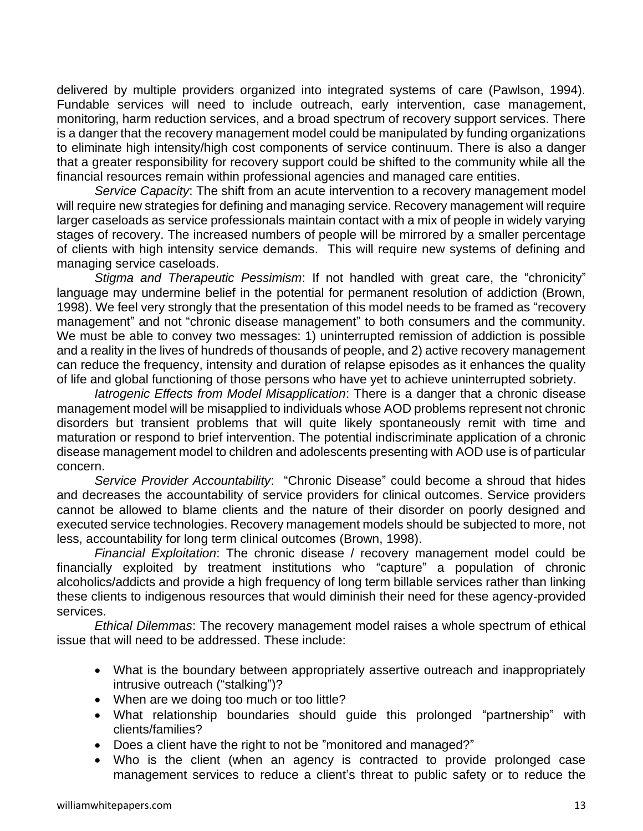delivered by multiple providers organized into integrated systems of care (Pawlson, 1994). Fundable services will need to include outreach, early intervention, case management, monitoring, harm reduction services, and a broad spectrum of recovery support services. There is a danger that the recovery management model could be manipulated by funding organizations to eliminate high intensity/high cost components of service continuum. There is also a danger that a greater responsibility for recovery support could be shifted to the community while all the financial resources remain within professional agencies and managed care entities.

*Service Capacity*: The shift from an acute intervention to a recovery management model will require new strategies for defining and managing service. Recovery management will require larger caseloads as service professionals maintain contact with a mix of people in widely varying stages of recovery. The increased numbers of people will be mirrored by a smaller percentage of clients with high intensity service demands. This will require new systems of defining and managing service caseloads.

*Stigma and Therapeutic Pessimism*: If not handled with great care, the "chronicity" language may undermine belief in the potential for permanent resolution of addiction (Brown, 1998). We feel very strongly that the presentation of this model needs to be framed as "recovery management" and not "chronic disease management" to both consumers and the community. We must be able to convey two messages: 1) uninterrupted remission of addiction is possible and a reality in the lives of hundreds of thousands of people, and 2) active recovery management can reduce the frequency, intensity and duration of relapse episodes as it enhances the quality of life and global functioning of those persons who have yet to achieve uninterrupted sobriety.

*Iatrogenic Effects from Model Misapplication*: There is a danger that a chronic disease management model will be misapplied to individuals whose AOD problems represent not chronic disorders but transient problems that will quite likely spontaneously remit with time and maturation or respond to brief intervention. The potential indiscriminate application of a chronic disease management model to children and adolescents presenting with AOD use is of particular concern.

*Service Provider Accountability*: "Chronic Disease" could become a shroud that hides and decreases the accountability of service providers for clinical outcomes. Service providers cannot be allowed to blame clients and the nature of their disorder on poorly designed and executed service technologies. Recovery management models should be subjected to more, not less, accountability for long term clinical outcomes (Brown, 1998).

*Financial Exploitation*: The chronic disease / recovery management model could be financially exploited by treatment institutions who "capture" a population of chronic alcoholics/addicts and provide a high frequency of long term billable services rather than linking these clients to indigenous resources that would diminish their need for these agency-provided services.

*Ethical Dilemmas*: The recovery management model raises a whole spectrum of ethical issue that will need to be addressed. These include:

- What is the boundary between appropriately assertive outreach and inappropriately intrusive outreach ("stalking")?
- When are we doing too much or too little?
- What relationship boundaries should guide this prolonged "partnership" with clients/families?
- Does a client have the right to not be "monitored and managed?"
- Who is the client (when an agency is contracted to provide prolonged case management services to reduce a client's threat to public safety or to reduce the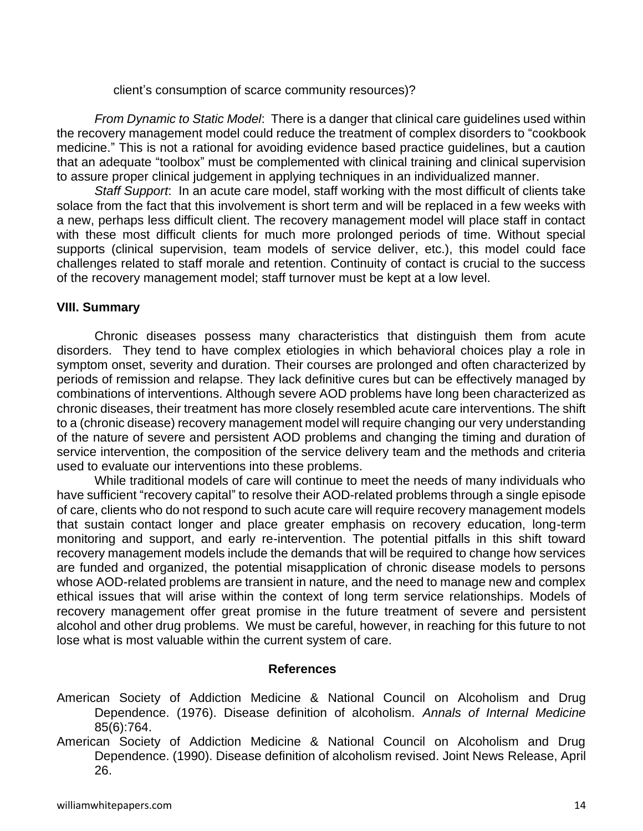client's consumption of scarce community resources)?

*From Dynamic to Static Model*: There is a danger that clinical care guidelines used within the recovery management model could reduce the treatment of complex disorders to "cookbook medicine." This is not a rational for avoiding evidence based practice guidelines, but a caution that an adequate "toolbox" must be complemented with clinical training and clinical supervision to assure proper clinical judgement in applying techniques in an individualized manner.

*Staff Support*: In an acute care model, staff working with the most difficult of clients take solace from the fact that this involvement is short term and will be replaced in a few weeks with a new, perhaps less difficult client. The recovery management model will place staff in contact with these most difficult clients for much more prolonged periods of time. Without special supports (clinical supervision, team models of service deliver, etc.), this model could face challenges related to staff morale and retention. Continuity of contact is crucial to the success of the recovery management model; staff turnover must be kept at a low level.

## **VIII. Summary**

Chronic diseases possess many characteristics that distinguish them from acute disorders. They tend to have complex etiologies in which behavioral choices play a role in symptom onset, severity and duration. Their courses are prolonged and often characterized by periods of remission and relapse. They lack definitive cures but can be effectively managed by combinations of interventions. Although severe AOD problems have long been characterized as chronic diseases, their treatment has more closely resembled acute care interventions. The shift to a (chronic disease) recovery management model will require changing our very understanding of the nature of severe and persistent AOD problems and changing the timing and duration of service intervention, the composition of the service delivery team and the methods and criteria used to evaluate our interventions into these problems.

While traditional models of care will continue to meet the needs of many individuals who have sufficient "recovery capital" to resolve their AOD-related problems through a single episode of care, clients who do not respond to such acute care will require recovery management models that sustain contact longer and place greater emphasis on recovery education, long-term monitoring and support, and early re-intervention. The potential pitfalls in this shift toward recovery management models include the demands that will be required to change how services are funded and organized, the potential misapplication of chronic disease models to persons whose AOD-related problems are transient in nature, and the need to manage new and complex ethical issues that will arise within the context of long term service relationships. Models of recovery management offer great promise in the future treatment of severe and persistent alcohol and other drug problems. We must be careful, however, in reaching for this future to not lose what is most valuable within the current system of care.

## **References**

- American Society of Addiction Medicine & National Council on Alcoholism and Drug Dependence. (1976). Disease definition of alcoholism. *Annals of Internal Medicine* 85(6):764.
- American Society of Addiction Medicine & National Council on Alcoholism and Drug Dependence. (1990). Disease definition of alcoholism revised. Joint News Release, April 26.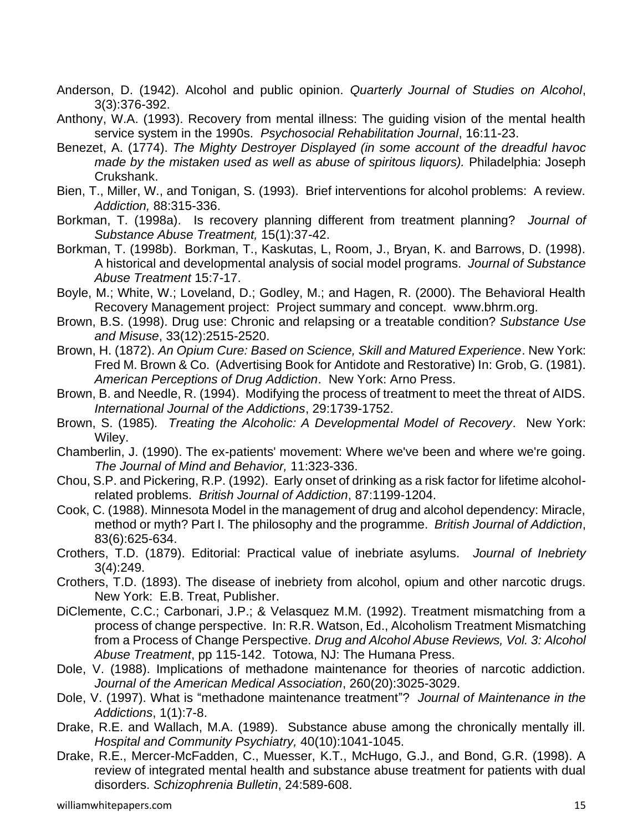- Anderson, D. (1942). Alcohol and public opinion. *Quarterly Journal of Studies on Alcohol*, 3(3):376-392.
- Anthony, W.A. (1993). Recovery from mental illness: The guiding vision of the mental health service system in the 1990s. *Psychosocial Rehabilitation Journal*, 16:11-23.
- Benezet, A. (1774). *The Mighty Destroyer Displayed (in some account of the dreadful havoc made by the mistaken used as well as abuse of spiritous liquors).* Philadelphia: Joseph Crukshank.
- Bien, T., Miller, W., and Tonigan, S. (1993). Brief interventions for alcohol problems: A review. *Addiction,* 88:315-336.
- Borkman, T. (1998a). Is recovery planning different from treatment planning? *Journal of Substance Abuse Treatment,* 15(1):37-42.
- Borkman, T. (1998b). Borkman, T., Kaskutas, L, Room, J., Bryan, K. and Barrows, D. (1998). A historical and developmental analysis of social model programs. *Journal of Substance Abuse Treatment* 15:7-17.
- Boyle, M.; White, W.; Loveland, D.; Godley, M.; and Hagen, R. (2000). The Behavioral Health Recovery Management project: Project summary and concept. www.bhrm.org.
- Brown, B.S. (1998). Drug use: Chronic and relapsing or a treatable condition? *Substance Use and Misuse*, 33(12):2515-2520.
- Brown, H. (1872). *An Opium Cure: Based on Science, Skill and Matured Experience*. New York: Fred M. Brown & Co. (Advertising Book for Antidote and Restorative) In: Grob, G. (1981). *American Perceptions of Drug Addiction*. New York: Arno Press.
- Brown, B. and Needle, R. (1994). Modifying the process of treatment to meet the threat of AIDS. *International Journal of the Addictions*, 29:1739-1752.
- Brown, S. (1985)*. Treating the Alcoholic: A Developmental Model of Recovery*. New York: Wiley.
- Chamberlin, J. (1990). The ex-patients' movement: Where we've been and where we're going. *The Journal of Mind and Behavior,* 11:323-336.
- Chou, S.P. and Pickering, R.P. (1992). Early onset of drinking as a risk factor for lifetime alcoholrelated problems. *British Journal of Addiction*, 87:1199-1204.
- Cook, C. (1988). Minnesota Model in the management of drug and alcohol dependency: Miracle, method or myth? Part I. The philosophy and the programme. *British Journal of Addiction*, 83(6):625-634.
- Crothers, T.D. (1879). Editorial: Practical value of inebriate asylums. *Journal of Inebriety* 3(4):249.
- Crothers, T.D. (1893). The disease of inebriety from alcohol, opium and other narcotic drugs. New York: E.B. Treat, Publisher.
- DiClemente, C.C.; Carbonari, J.P.; & Velasquez M.M. (1992). Treatment mismatching from a process of change perspective. In: R.R. Watson, Ed., Alcoholism Treatment Mismatching from a Process of Change Perspective. *Drug and Alcohol Abuse Reviews, Vol. 3: Alcohol Abuse Treatment*, pp 115-142. Totowa, NJ: The Humana Press.
- Dole, V. (1988). Implications of methadone maintenance for theories of narcotic addiction. *Journal of the American Medical Association*, 260(20):3025-3029.
- Dole, V. (1997). What is "methadone maintenance treatment"? *Journal of Maintenance in the Addictions*, 1(1):7-8.
- Drake, R.E. and Wallach, M.A. (1989). Substance abuse among the chronically mentally ill. *Hospital and Community Psychiatry,* 40(10):1041-1045.
- Drake, R.E., Mercer-McFadden, C., Muesser, K.T., McHugo, G.J., and Bond, G.R. (1998). A review of integrated mental health and substance abuse treatment for patients with dual disorders. *Schizophrenia Bulletin*, 24:589-608.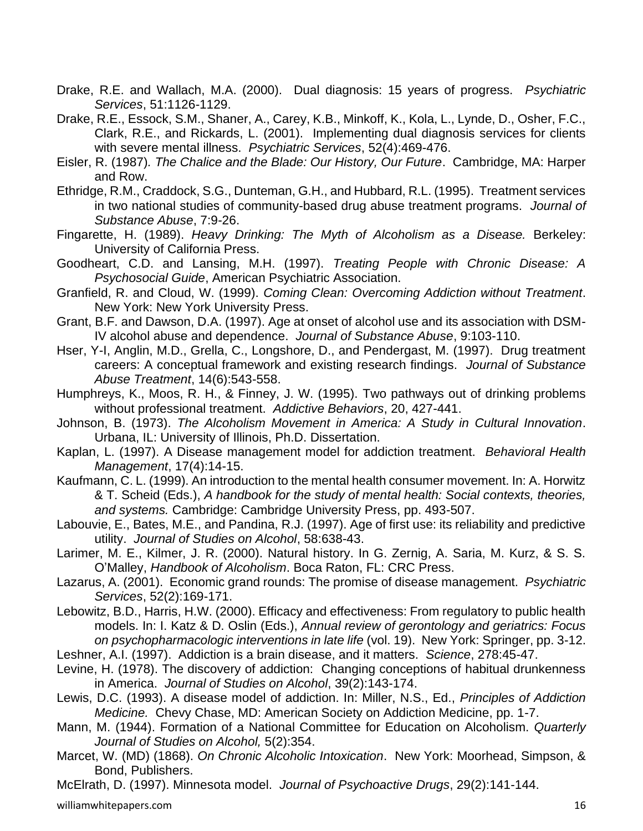- Drake, R.E. and Wallach, M.A. (2000). Dual diagnosis: 15 years of progress. *Psychiatric Services*, 51:1126-1129.
- Drake, R.E., Essock, S.M., Shaner, A., Carey, K.B., Minkoff, K., Kola, L., Lynde, D., Osher, F.C., Clark, R.E., and Rickards, L. (2001). Implementing dual diagnosis services for clients with severe mental illness. *Psychiatric Services*, 52(4):469-476.
- Eisler, R. (1987)*. The Chalice and the Blade: Our History, Our Future*. Cambridge, MA: Harper and Row.
- Ethridge, R.M., Craddock, S.G., Dunteman, G.H., and Hubbard, R.L. (1995). Treatment services in two national studies of community-based drug abuse treatment programs. *Journal of Substance Abuse*, 7:9-26.
- Fingarette, H. (1989). *Heavy Drinking: The Myth of Alcoholism as a Disease.* Berkeley: University of California Press.
- Goodheart, C.D. and Lansing, M.H. (1997). *Treating People with Chronic Disease: A Psychosocial Guide*, American Psychiatric Association.
- Granfield, R. and Cloud, W. (1999). *Coming Clean: Overcoming Addiction without Treatment*. New York: New York University Press.
- Grant, B.F. and Dawson, D.A. (1997). Age at onset of alcohol use and its association with DSM-IV alcohol abuse and dependence. *Journal of Substance Abuse*, 9:103-110.
- Hser, Y-I, Anglin, M.D., Grella, C., Longshore, D., and Pendergast, M. (1997). Drug treatment careers: A conceptual framework and existing research findings. *Journal of Substance Abuse Treatment*, 14(6):543-558.
- Humphreys, K., Moos, R. H., & Finney, J. W. (1995). Two pathways out of drinking problems without professional treatment. *Addictive Behaviors*, 20, 427-441.
- Johnson, B. (1973). *The Alcoholism Movement in America: A Study in Cultural Innovation*. Urbana, IL: University of Illinois, Ph.D. Dissertation.
- Kaplan, L. (1997). A Disease management model for addiction treatment. *Behavioral Health Management*, 17(4):14-15.
- Kaufmann, C. L. (1999). An introduction to the mental health consumer movement. In: A. Horwitz & T. Scheid (Eds.), *A handbook for the study of mental health: Social contexts, theories, and systems.* Cambridge: Cambridge University Press, pp. 493-507.
- Labouvie, E., Bates, M.E., and Pandina, R.J. (1997). Age of first use: its reliability and predictive utility. *Journal of Studies on Alcohol*, 58:638-43.
- Larimer, M. E., Kilmer, J. R. (2000). Natural history. In G. Zernig, A. Saria, M. Kurz, & S. S. O'Malley, *Handbook of Alcoholism*. Boca Raton, FL: CRC Press.
- Lazarus, A. (2001). Economic grand rounds: The promise of disease management. *Psychiatric Services*, 52(2):169-171.
- Lebowitz, B.D., Harris, H.W. (2000). Efficacy and effectiveness: From regulatory to public health models. In: I. Katz & D. Oslin (Eds.), *Annual review of gerontology and geriatrics: Focus on psychopharmacologic interventions in late life* (vol. 19). New York: Springer, pp. 3-12.
- Leshner, A.I. (1997). Addiction is a brain disease, and it matters. *Science*, 278:45-47.
- Levine, H. (1978). The discovery of addiction: Changing conceptions of habitual drunkenness in America. *Journal of Studies on Alcohol*, 39(2):143-174.
- Lewis, D.C. (1993). A disease model of addiction. In: Miller, N.S., Ed., *Principles of Addiction Medicine.* Chevy Chase, MD: American Society on Addiction Medicine, pp. 1-7.
- Mann, M. (1944). Formation of a National Committee for Education on Alcoholism. *Quarterly Journal of Studies on Alcohol,* 5(2):354.
- Marcet, W. (MD) (1868). *On Chronic Alcoholic Intoxication*. New York: Moorhead, Simpson, & Bond, Publishers.
- McElrath, D. (1997). Minnesota model. *Journal of Psychoactive Drugs*, 29(2):141-144.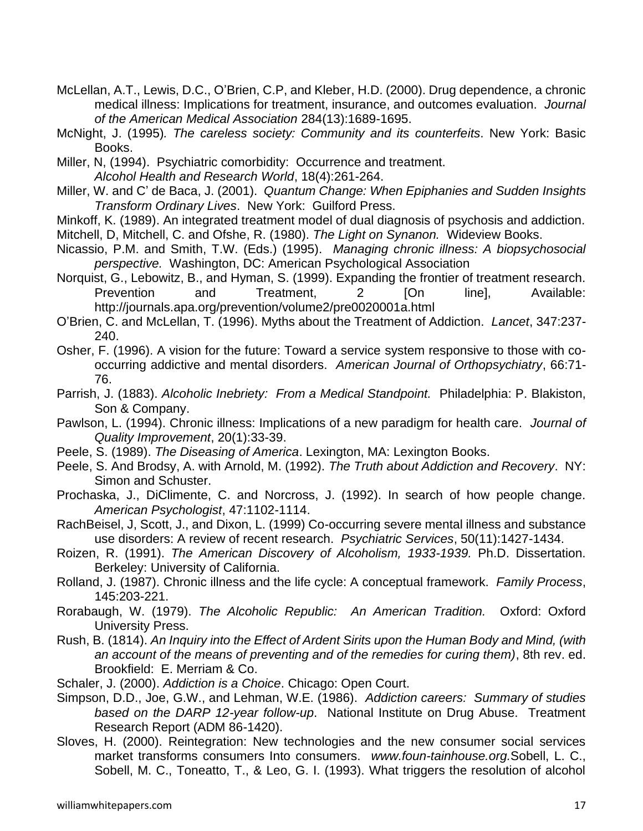- McLellan, A.T., Lewis, D.C., O'Brien, C.P, and Kleber, H.D. (2000). Drug dependence, a chronic medical illness: Implications for treatment, insurance, and outcomes evaluation. *Journal of the American Medical Association* 284(13):1689-1695.
- McNight, J. (1995)*. The careless society: Community and its counterfeits*. New York: Basic Books.
- Miller, N, (1994). Psychiatric comorbidity: Occurrence and treatment. *Alcohol Health and Research World*, 18(4):261-264.
- Miller, W. and C' de Baca, J. (2001). *Quantum Change: When Epiphanies and Sudden Insights Transform Ordinary Lives*. New York: Guilford Press.
- Minkoff, K. (1989). An integrated treatment model of dual diagnosis of psychosis and addiction.
- Mitchell, D, Mitchell, C. and Ofshe, R. (1980). *The Light on Synanon.* Wideview Books.
- Nicassio, P.M. and Smith, T.W. (Eds.) (1995). *Managing chronic illness: A biopsychosocial perspective.* Washington, DC: American Psychological Association
- Norquist, G., Lebowitz, B., and Hyman, S. (1999). Expanding the frontier of treatment research. Prevention and Treatment, 2 [On line], Available: http://journals.apa.org/prevention/volume2/pre0020001a.html
- O'Brien, C. and McLellan, T. (1996). Myths about the Treatment of Addiction. *Lancet*, 347:237- 240.
- Osher, F. (1996). A vision for the future: Toward a service system responsive to those with cooccurring addictive and mental disorders. *American Journal of Orthopsychiatry*, 66:71- 76.
- Parrish, J. (1883). *Alcoholic Inebriety: From a Medical Standpoint.* Philadelphia: P. Blakiston, Son & Company.
- Pawlson, L. (1994). Chronic illness: Implications of a new paradigm for health care. *Journal of Quality Improvement*, 20(1):33-39.
- Peele, S. (1989). *The Diseasing of America*. Lexington, MA: Lexington Books.
- Peele, S. And Brodsy, A. with Arnold, M. (1992). *The Truth about Addiction and Recovery*. NY: Simon and Schuster.
- Prochaska, J., DiClimente, C. and Norcross, J. (1992). In search of how people change. *American Psychologist*, 47:1102-1114.
- RachBeisel, J, Scott, J., and Dixon, L. (1999) Co-occurring severe mental illness and substance use disorders: A review of recent research. *Psychiatric Services*, 50(11):1427-1434.
- Roizen, R. (1991). *The American Discovery of Alcoholism, 1933-1939.* Ph.D. Dissertation. Berkeley: University of California.
- Rolland, J. (1987). Chronic illness and the life cycle: A conceptual framework. *Family Process*, 145:203-221.
- Rorabaugh, W. (1979). *The Alcoholic Republic: An American Tradition.* Oxford: Oxford University Press.
- Rush, B. (1814). *An Inquiry into the Effect of Ardent Sirits upon the Human Body and Mind, (with an account of the means of preventing and of the remedies for curing them)*, 8th rev. ed. Brookfield: E. Merriam & Co.
- Schaler, J. (2000). *Addiction is a Choice*. Chicago: Open Court.
- Simpson, D.D., Joe, G.W., and Lehman, W.E. (1986). *Addiction careers: Summary of studies based on the DARP 12-year follow-up*. National Institute on Drug Abuse. Treatment Research Report (ADM 86-1420).
- Sloves, H. (2000). Reintegration: New technologies and the new consumer social services market transforms consumers Into consumers. *www.foun-tainhouse.org.*Sobell, L. C., Sobell, M. C., Toneatto, T., & Leo, G. I. (1993). What triggers the resolution of alcohol